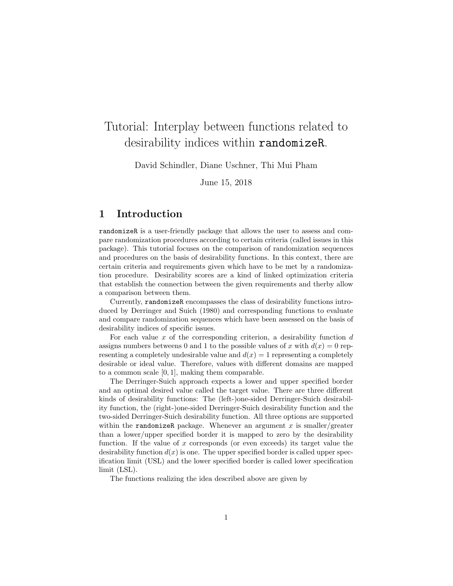## Tutorial: Interplay between functions related to desirability indices within randomizeR.

David Schindler, Diane Uschner, Thi Mui Pham

June 15, 2018

## 1 Introduction

randomizeR is a user-friendly package that allows the user to assess and compare randomization procedures according to certain criteria (called issues in this package). This tutorial focuses on the comparison of randomization sequences and procedures on the basis of desirability functions. In this context, there are certain criteria and requirements given which have to be met by a randomization procedure. Desirability scores are a kind of linked optimization criteria that establish the connection between the given requirements and therby allow a comparison between them.

Currently, randomizeR encompasses the class of desirability functions introduced by Derringer and Suich (1980) and corresponding functions to evaluate and compare randomization sequences which have been assessed on the basis of desirability indices of specific issues.

For each value  $x$  of the corresponding criterion, a desirability function  $d$ assigns numbers betweens 0 and 1 to the possible values of x with  $d(x) = 0$  representing a completely undesirable value and  $d(x) = 1$  representing a completely desirable or ideal value. Therefore, values with different domains are mapped to a common scale [0, 1], making them comparable.

The Derringer-Suich approach expects a lower and upper specified border and an optimal desired value called the target value. There are three different kinds of desirability functions: The (left-)one-sided Derringer-Suich desirability function, the (right-)one-sided Derringer-Suich desirability function and the two-sided Derringer-Suich desirability function. All three options are supported within the randomizeR package. Whenever an argument x is smaller/greater than a lower/upper specified border it is mapped to zero by the desirability function. If the value of x corresponds (or even exceeds) its target value the desirability function  $d(x)$  is one. The upper specified border is called upper specification limit (USL) and the lower specified border is called lower specification limit (LSL).

The functions realizing the idea described above are given by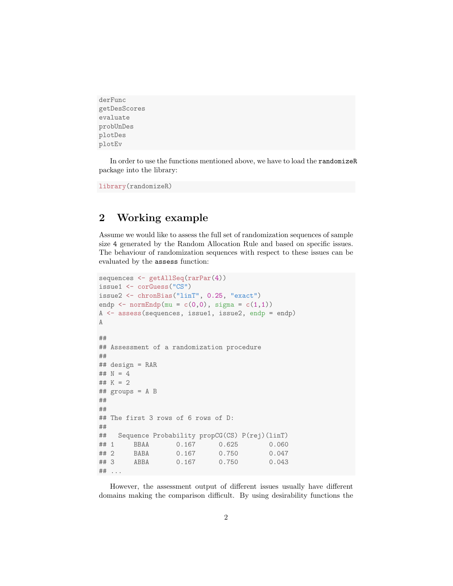```
derFunc
getDesScores
evaluate
probUnDes
plotDes
plotEv
```
In order to use the functions mentioned above, we have to load the randomizeR package into the library:

library(randomizeR)

## 2 Working example

Assume we would like to assess the full set of randomization sequences of sample size 4 generated by the Random Allocation Rule and based on specific issues. The behaviour of randomization sequences with respect to these issues can be evaluated by the assess function:

```
sequences <- getAllSeq(rarPar(4))
issue1 <- corGuess("CS")
issue2 <- chronBias("linT", 0.25, "exact")
endp \leq normEndp(mu = c(0,0), sigma = c(1,1))
A <- assess(sequences, issue1, issue2, endp = endp)
A
##
## Assessment of a randomization procedure
##
## design = RAR
## N = 4## K = 2## groups = A B
##
##
## The first 3 rows of 6 rows of D:
##
## Sequence Probability propCG(CS) P(rej)(linT)
## 1 BBAA 0.167 0.625 0.060
## 2 BABA 0.167 0.750 0.047
## 3 ABBA 0.167 0.750 0.043
## ...
```
However, the assessment output of different issues usually have different domains making the comparison difficult. By using desirability functions the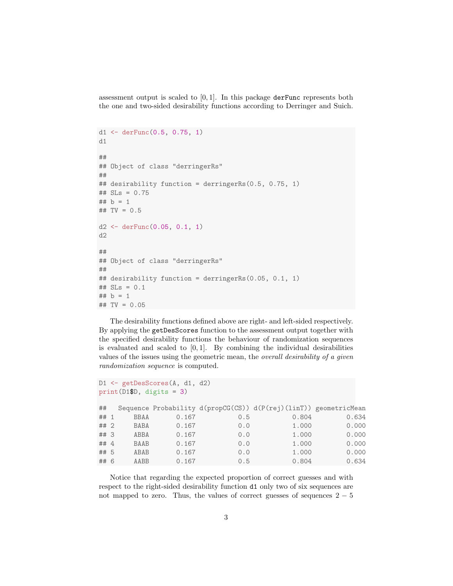assessment output is scaled to  $[0, 1]$ . In this package derFunc represents both the one and two-sided desirability functions according to Derringer and Suich.

```
d1 \leftarrow derFunc(0.5, 0.75, 1)d1
##
## Object of class "derringerRs"
##
## desirability function = derringerRs(0.5, 0.75, 1)
## SLs = 0.75
## b = 1## TV = 0.5
d2 \leftarrow derFunc(0.05, 0.1, 1)d2
##
## Object of class "derringerRs"
##
## desirability function = derringerRs(0.05, 0.1, 1)
## SLs = 0.1
## b = 1## TV = 0.05
```
The desirability functions defined above are right- and left-sided respectively. By applying the getDesScores function to the assessment output together with the specified desirability functions the behaviour of randomization sequences is evaluated and scaled to  $[0, 1]$ . By combining the individual desirabilities values of the issues using the geometric mean, the overall desirability of a given randomization sequence is computed.

```
D1 <- getDesScores(A, d1, d2)
print(D1$D, digits = 3)
## Sequence Probability d(propCG(CS)) d(P(rej)(linT)) geometricMean
## 1 BBAA 0.167 0.5 0.804 0.634
## 2 BABA 0.167 0.0 1.000 0.000
## 3 ABBA 0.167 0.0 1.000 0.000
## 4 BAAB 0.167 0.0 1.000 0.000
## 5 ABAB 0.167 0.0 1.000 0.000
## 6 AABB 0.167 0.5 0.804 0.634
```
Notice that regarding the expected proportion of correct guesses and with respect to the right-sided desirability function d1 only two of six sequences are not mapped to zero. Thus, the values of correct guesses of sequences  $2 - 5$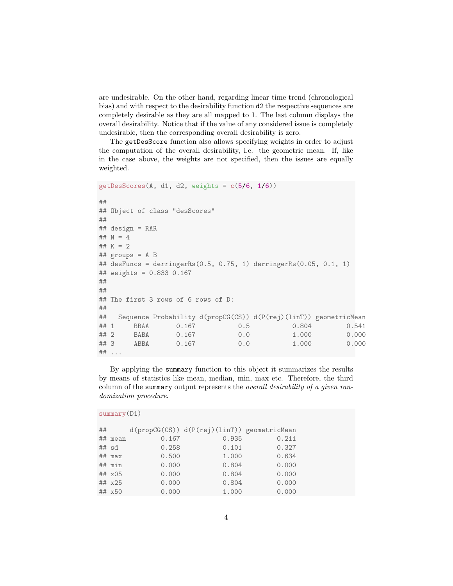are undesirable. On the other hand, regarding linear time trend (chronological bias) and with respect to the desirability function d2 the respective sequences are completely desirable as they are all mapped to 1. The last column displays the overall desirability. Notice that if the value of any considered issue is completely undesirable, then the corresponding overall desirability is zero.

The getDesScore function also allows specifying weights in order to adjust the computation of the overall desirability, i.e. the geometric mean. If, like in the case above, the weights are not specified, then the issues are equally weighted.

```
getDesScores(A, d1, d2, weights = c(5/6, 1/6))##
## Object of class "desScores"
##
## design = RAR
## N = 4## K = 2## groups = A B
## desFuncs = derringerRs(0.5, 0.75, 1) derringerRs(0.05, 0.1, 1)
## weights = 0.833 0.167
##
##
## The first 3 rows of 6 rows of D:
##
## Sequence Probability d(propCG(CS)) d(P(rej)(linT)) geometricMean
## 1 BBAA 0.167 0.5 0.804 0.541
## 2 BABA 0.167 0.0 1.000 0.000
## 3 ABBA 0.167 0.0 1.000 0.000
## ...
```
By applying the summary function to this object it summarizes the results by means of statistics like mean, median, min, max etc. Therefore, the third column of the summary output represents the *overall desirability of a given ran*domization procedure.

```
## d(propCG(CS)) d(P(rej)(linT)) geometricMean
## mean 0.167 0.935 0.211
## sd 0.258 0.101 0.327
## max 0.500 1.000 0.634
## min 0.000 0.804 0.000
## x05 0.000 0.804 0.000
## x25 0.000 0.804 0.000
## x50 0.000 1.000 0.000
```
summary(D1)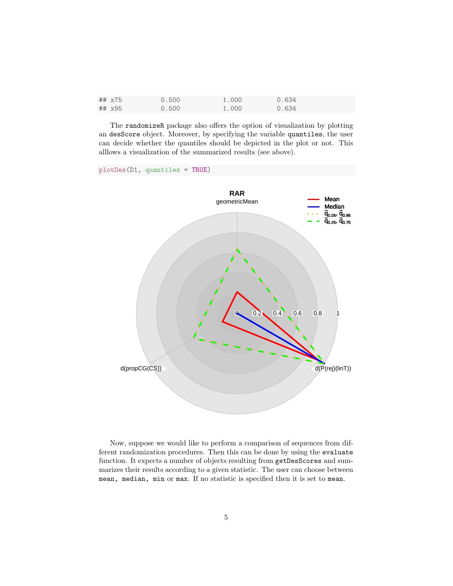| ## x75 | 0.500 | 1.000 | 0.634 |
|--------|-------|-------|-------|
| ## x95 | 0.500 | 1.000 | 0.634 |

The randomizeR package also offers the option of visualization by plotting an desScore object. Moreover, by specifying the variable quantiles, the user can decide whether the quantiles should be depicted in the plot or not. This alllows a visualization of the summarized results (see above).

plotDes(D1, quantiles = TRUE)



Now, suppose we would like to perform a comparison of sequences from different randomization procedures. Then this can be done by using the evaluate function. It expects a number of objects resulting from getDesScores and summarizes their results according to a given statistic. The user can choose between mean, median, min or max. If no statistic is specified then it is set to mean.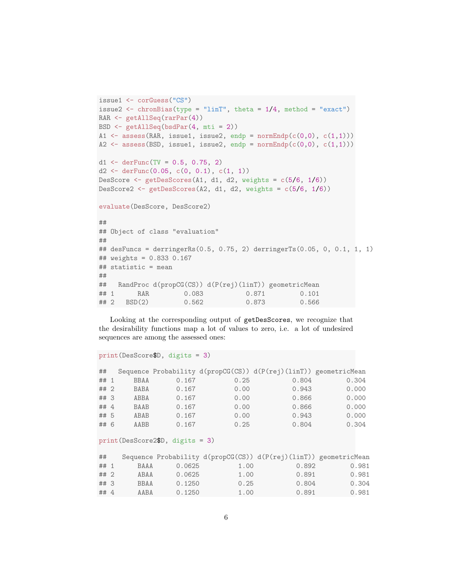```
issue1 <- corGuess("CS")
issue2 \leftarrow chronBias(type = "linT", theta = 1/4, method = "exact")
RAR <- getAllSeq(rarPar(4))
BSD \leq getAllSeq(bsdPar(4, mti = 2))
A1 \leq assess(RAR, issue1, issue2, endp = normEndp(c(0,0), c(1,1)))
A2 \leq assess(BSD, issue1, issue2, endp = normEndp(c(0,0), c(1,1)))
d1 \leftarrow derFunc(TV = 0.5, 0.75, 2)d2 \leftarrow derFunc(0.05, c(0, 0.1), c(1, 1))DesScore \leq getDesScores(A1, d1, d2, weights = c(5/6, 1/6))
DesScore2 \leftarrow getDesScores(A2, d1, d2, weights = c(5/6, 1/6))
evaluate(DesScore, DesScore2)
##
## Object of class "evaluation"
##
## desFuncs = derringerRs(0.5, 0.75, 2) derringerTs(0.05, 0, 0.1, 1, 1)
## weights = 0.833 0.167
## statistic = mean
##
## RandProc d(propCG(CS)) d(P(rej)(linT)) geometricMean
## 1 RAR 0.083 0.871 0.101
## 2 BSD(2) 0.562 0.873 0.566
```
Looking at the corresponding output of getDesScores, we recognize that the desirability functions map a lot of values to zero, i.e. a lot of undesired sequences are among the assessed ones:

```
print(DesScore$D, digits = 3)
```

| ##   |             |       |      | Sequence Probability d(propCG(CS)) d(P(rej)(linT)) geometricMean |       |
|------|-------------|-------|------|------------------------------------------------------------------|-------|
| ## 1 | <b>BBAA</b> | 0.167 | 0.25 | 0.804                                                            | 0.304 |
| ## 2 | <b>BABA</b> | 0.167 | 0.00 | 0.943                                                            | 0.000 |
| ##3  | ABBA        | 0.167 | 0.00 | 0.866                                                            | 0.000 |
| ## 4 | <b>BAAB</b> | 0.167 | 0.00 | 0.866                                                            | 0.000 |
| ## 5 | ABAB        | 0.167 | 0.00 | 0.943                                                            | 0.000 |
| ## 6 | AABB        | 0.167 | 0.25 | 0.804                                                            | 0.304 |

## print(DesScore2\$D, digits = 3)

| ##   |             |        |      | Sequence Probability $d(propCG(CS)) d(P(rej)(linT))$ geometricMean |       |
|------|-------------|--------|------|--------------------------------------------------------------------|-------|
| ## 1 | <b>BAAA</b> | 0.0625 | 1.00 | 0.892                                                              | 0.981 |
| ## 2 | ABAA        | 0.0625 | 1.00 | 0.891                                                              | 0.981 |
| ##3  | <b>BBAA</b> | 0.1250 | 0.25 | 0.804                                                              | 0.304 |
| ## 4 | AABA        | 0.1250 | 1.00 | 0.891                                                              | 0.981 |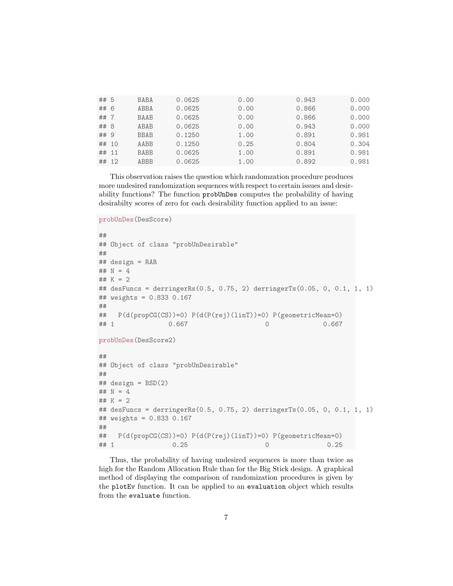| ## 5  | <b>BABA</b> | 0.0625 | 0.00 | 0.943 | 0.000 |
|-------|-------------|--------|------|-------|-------|
| ## 6  | ABBA        | 0.0625 | 0.00 | 0.866 | 0.000 |
| ## 7  | <b>BAAB</b> | 0.0625 | 0.00 | 0.866 | 0.000 |
| ## 8  | ABAB        | 0.0625 | 0.00 | 0.943 | 0.000 |
| ## 9  | <b>BBAB</b> | 0.1250 | 1.00 | 0.891 | 0.981 |
| ## 10 | AABB        | 0.1250 | 0.25 | 0.804 | 0.304 |
| ## 11 | <b>BABB</b> | 0.0625 | 1.00 | 0.891 | 0.981 |
| ## 12 | <b>ABBB</b> | 0.0625 | 1.00 | 0.892 | 0.981 |

This observation raises the question which randomzation procedure produces more undesired randomization sequences with respect to certain issues and desirability functions? The function probUnDes computes the probability of having desirabilty scores of zero for each desirability function applied to an issue:

```
probUnDes(DesScore)
##
## Object of class "probUnDesirable"
##
## design = RAR
## N = 4## K = 2## desFuncs = derringerRs(0.5, 0.75, 2) derringerTs(0.05, 0, 0.1, 1, 1)
## weights = 0.833 0.167
##
## P(d(propCG(CS))=0) P(d(P(rej)(linT))=0) P(geometricMean=0)
## 1 0.667 0 0.667
probUnDes(DesScore2)
##
## Object of class "probUnDesirable"
##
## design = BSD(2)## N = 4## K = 2## desFuncs = derringerRs(0.5, 0.75, 2) derringerTs(0.05, 0, 0.1, 1, 1)
## weights = 0.833 0.167
##
## P(d(propCG(CS))=0) P(d(P(rej)(linT))=0) P(geometricMean=0)
## 1 0.25 0 0.25
```
Thus, the probability of having undesired sequences is more than twice as high for the Random Allocation Rule than for the Big Stick design. A graphical method of displaying the comparison of randomization procedures is given by the plotEv function. It can be applied to an evaluation object which results from the evaluate function.